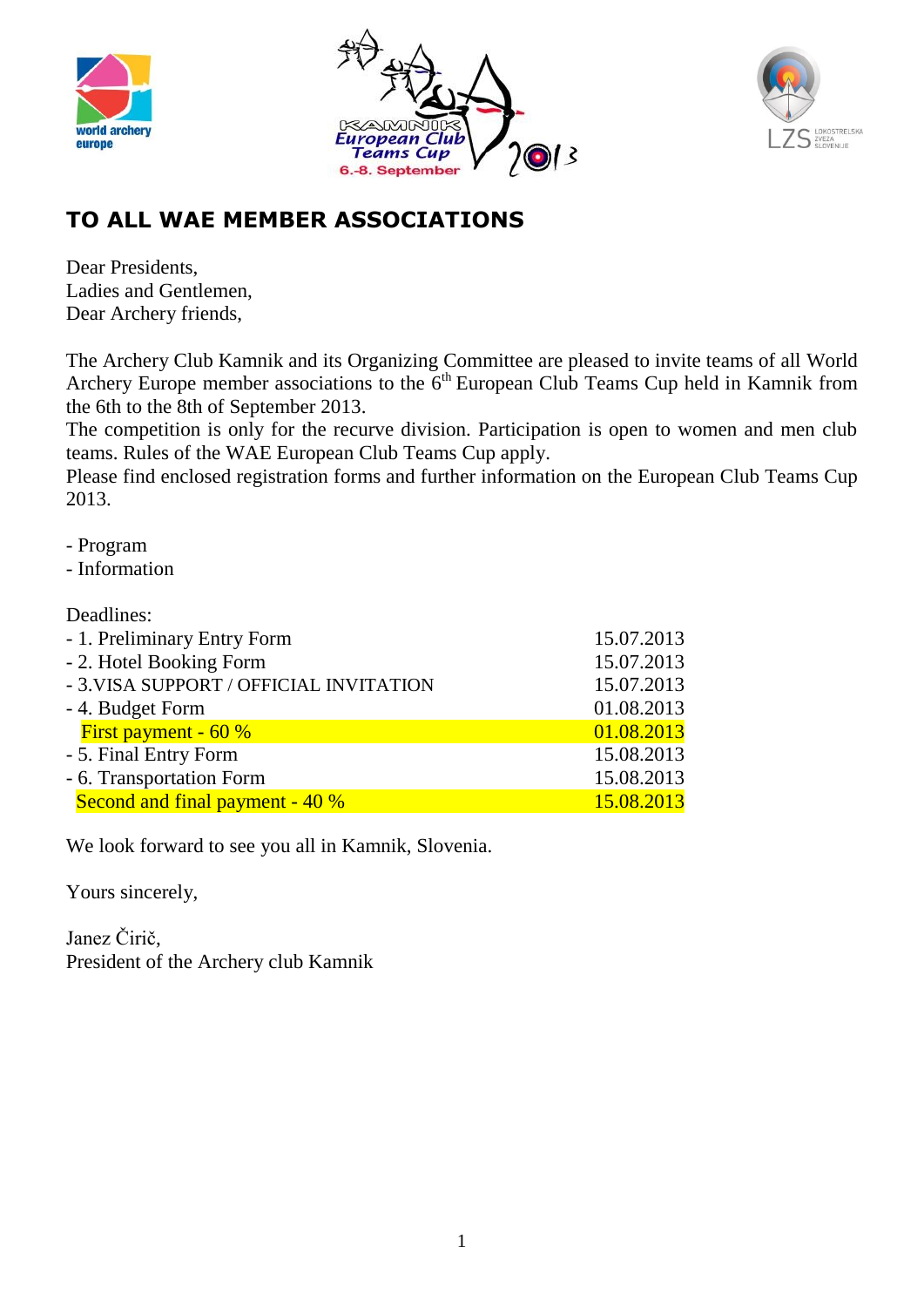





# **TO ALL WAE MEMBER ASSOCIATIONS**

Dear Presidents Ladies and Gentlemen, Dear Archery friends,

The Archery Club Kamnik and its Organizing Committee are pleased to invite teams of all World Archery Europe member associations to the  $6<sup>th</sup>$  European Club Teams Cup held in Kamnik from the 6th to the 8th of September 2013.

The competition is only for the recurve division. Participation is open to women and men club teams. Rules of the WAE European Club Teams Cup apply.

Please find enclosed registration forms and further information on the European Club Teams Cup 2013.

- Program
- Information

#### Deadlines:

| - 1. Preliminary Entry Form             | 15.07.2013 |
|-----------------------------------------|------------|
| - 2. Hotel Booking Form                 | 15.07.2013 |
| - 3. VISA SUPPORT / OFFICIAL INVITATION | 15.07.2013 |
| - 4. Budget Form                        | 01.08.2013 |
| First payment - $60\%$                  | 01.08.2013 |
| - 5. Final Entry Form                   | 15.08.2013 |
| - 6. Transportation Form                | 15.08.2013 |
| Second and final payment - 40 %         | 15.08.2013 |
|                                         |            |

We look forward to see you all in Kamnik, Slovenia.

Yours sincerely,

Janez Čirič, President of the Archery club Kamnik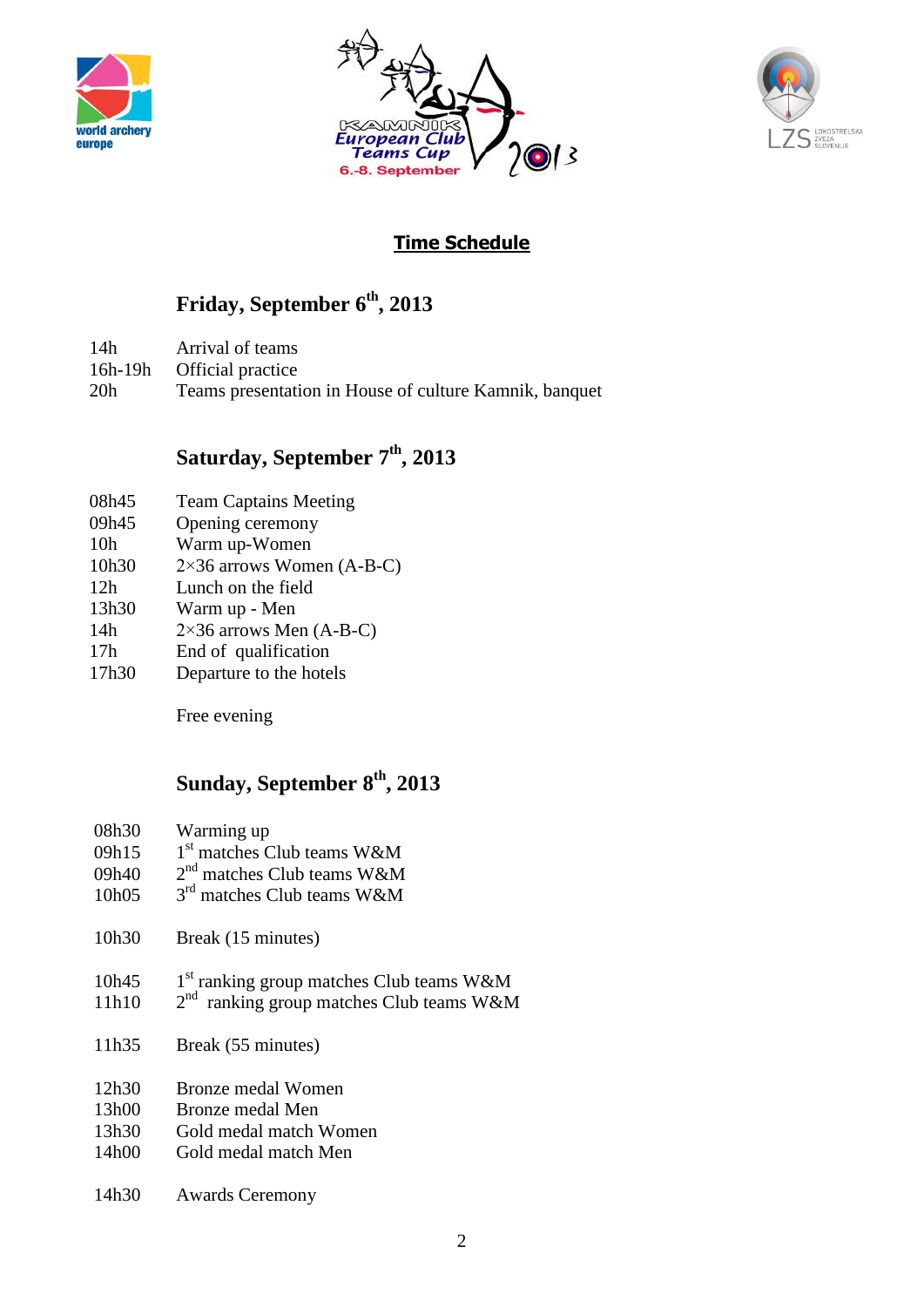





## **Time Schedule**

# **Friday, September 6th, 2013**

- 14h Arrival of teams
- 16h-19h Official practice
- 20h Teams presentation in House of culture Kamnik, banquet

## **Saturday, September 7th, 2013**

- 08h45 Team Captains Meeting
- 09h45 Opening ceremony
- 10h Warm up-Women
- 10h30 2×36 arrows Women (A-B-C)
- 12h Lunch on the field
- 13h30 Warm up Men
- 14h  $2 \times 36$  arrows Men (A-B-C)
- 17h End of qualification
- 17h30 Departure to the hotels

Free evening

## **Sunday, September 8th, 2013**

- 08h30 Warming up
- 09h15  $1<sup>st</sup>$  matches Club teams W&M
- 09h40  $2<sup>nd</sup>$  matches Club teams W&M
- 10h05 3<sup>rd</sup> matches Club teams W&M
- 10h30 Break (15 minutes)
- 10h45 1  $1<sup>st</sup>$  ranking group matches Club teams W&M
- 11h10  $2<sup>nd</sup>$  ranking group matches Club teams W&M
- 11h35 Break (55 minutes)
- 12h30 Bronze medal Women
- 13h00 Bronze medal Men
- 13h30 Gold medal match Women
- 14h00 Gold medal match Men
- 14h30 Awards Ceremony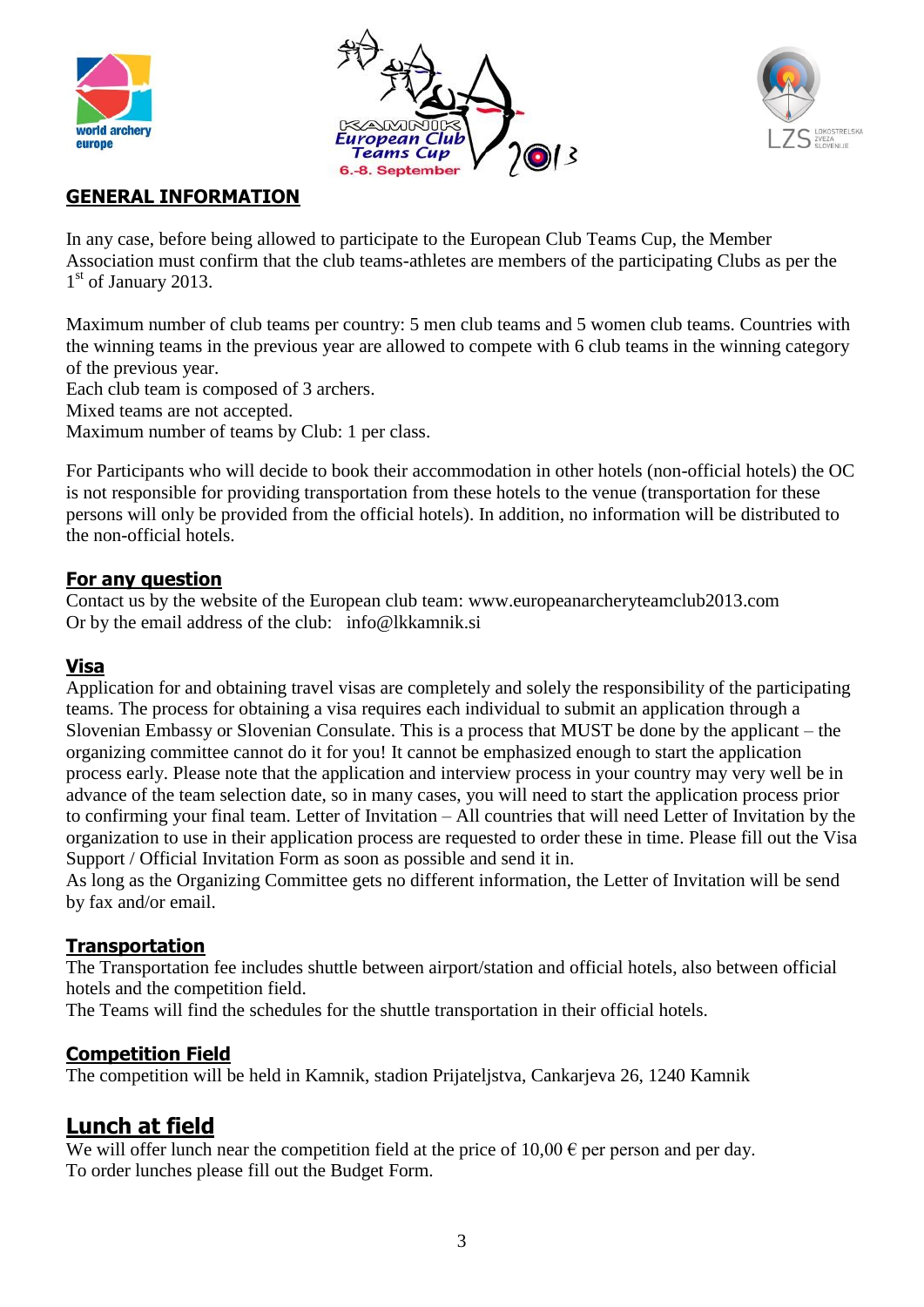





### **GENERAL INFORMATION**

In any case, before being allowed to participate to the European Club Teams Cup, the Member Association must confirm that the club teams-athletes are members of the participating Clubs as per the 1st of January 2013.

Maximum number of club teams per country: 5 men club teams and 5 women club teams. Countries with the winning teams in the previous year are allowed to compete with 6 club teams in the winning category of the previous year.

Each club team is composed of 3 archers.

Mixed teams are not accepted.

Maximum number of teams by Club: 1 per class.

For Participants who will decide to book their accommodation in other hotels (non-official hotels) the OC is not responsible for providing transportation from these hotels to the venue (transportation for these persons will only be provided from the official hotels). In addition, no information will be distributed to the non-official hotels.

#### **For any question**

Contact us by the website of the European club team: www.europeanarcheryteamclub2013.com Or by the email address of the club: info@lkkamnik.si

#### **Visa**

Application for and obtaining travel visas are completely and solely the responsibility of the participating teams. The process for obtaining a visa requires each individual to submit an application through a Slovenian Embassy or Slovenian Consulate. This is a process that MUST be done by the applicant – the organizing committee cannot do it for you! It cannot be emphasized enough to start the application process early. Please note that the application and interview process in your country may very well be in advance of the team selection date, so in many cases, you will need to start the application process prior to confirming your final team. Letter of Invitation – All countries that will need Letter of Invitation by the organization to use in their application process are requested to order these in time. Please fill out the Visa Support / Official Invitation Form as soon as possible and send it in.

As long as the Organizing Committee gets no different information, the Letter of Invitation will be send by fax and/or email.

#### **Transportation**

The Transportation fee includes shuttle between airport/station and official hotels, also between official hotels and the competition field.

The Teams will find the schedules for the shuttle transportation in their official hotels.

#### **Competition Field**

The competition will be held in Kamnik, stadion Prijateljstva, Cankarjeva 26, 1240 Kamnik

### **Lunch at field**

We will offer lunch near the competition field at the price of  $10,00 \in$  per person and per day. To order lunches please fill out the Budget Form.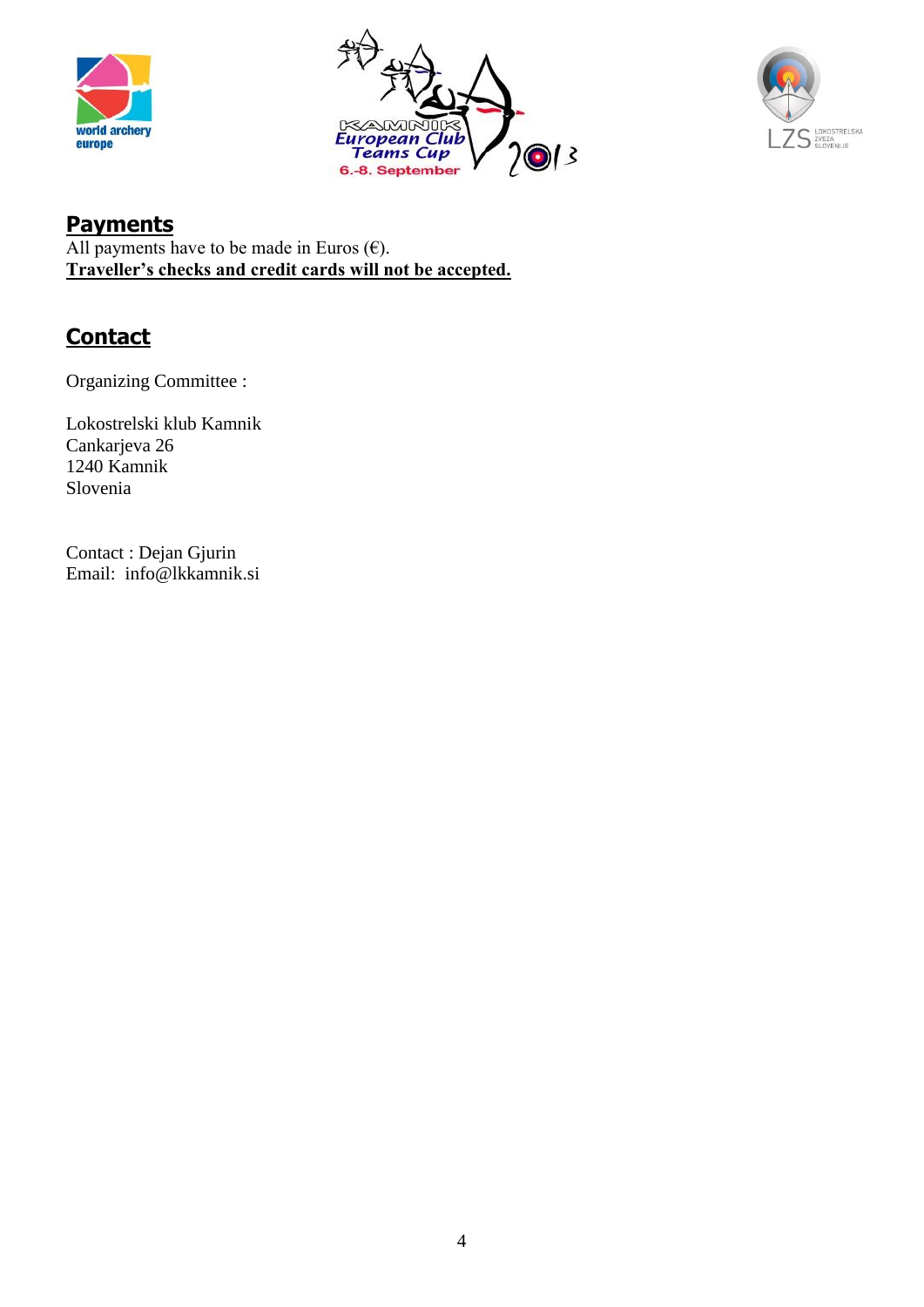





## **Payments**

All payments have to be made in Euros  $(\epsilon)$ . **Traveller's checks and credit cards will not be accepted.**

## **Contact**

Organizing Committee :

Lokostrelski klub Kamnik Cankarjeva 26 1240 Kamnik Slovenia

Contact : Dejan Gjurin Email: info@lkkamnik.si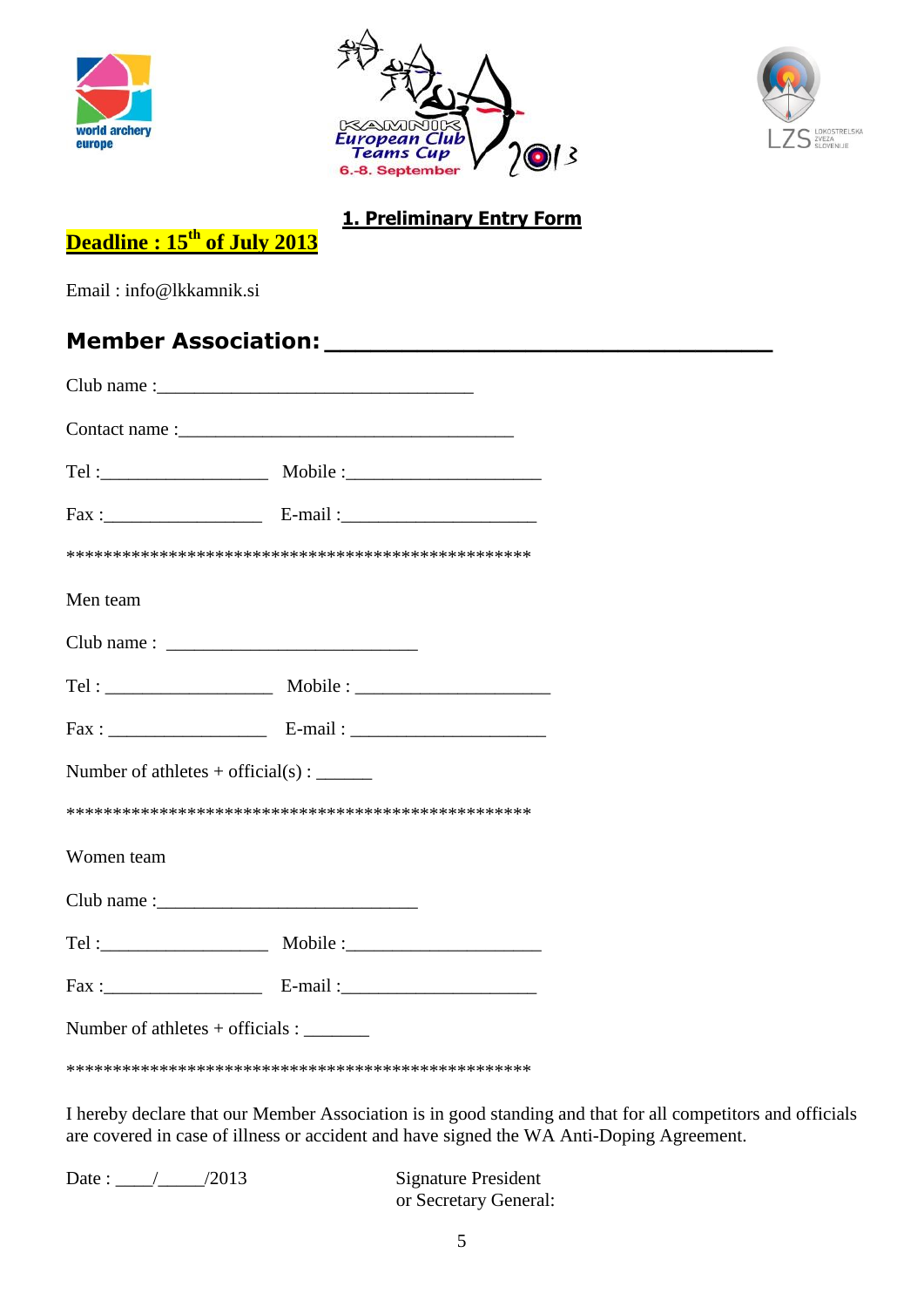





### **1. Preliminary Entry Form**

# **Deadline : 15th of July 2013**

Email : info@lkkamnik.si

## **Member Association: \_\_\_\_\_\_\_\_\_\_\_\_\_\_\_\_\_\_\_\_\_\_\_\_\_\_\_\_\_**

| Men team                                           |  |  |  |  |  |  |
|----------------------------------------------------|--|--|--|--|--|--|
|                                                    |  |  |  |  |  |  |
|                                                    |  |  |  |  |  |  |
|                                                    |  |  |  |  |  |  |
| Number of athletes + official(s) : $\qquad \qquad$ |  |  |  |  |  |  |
|                                                    |  |  |  |  |  |  |
| Women team                                         |  |  |  |  |  |  |
|                                                    |  |  |  |  |  |  |
|                                                    |  |  |  |  |  |  |
|                                                    |  |  |  |  |  |  |
| Number of athletes $+$ officials :                 |  |  |  |  |  |  |
|                                                    |  |  |  |  |  |  |

I hereby declare that our Member Association is in good standing and that for all competitors and officials are covered in case of illness or accident and have signed the WA Anti-Doping Agreement.

Date : \_\_\_\_/\_\_\_\_\_/2013 Signature President

or Secretary General: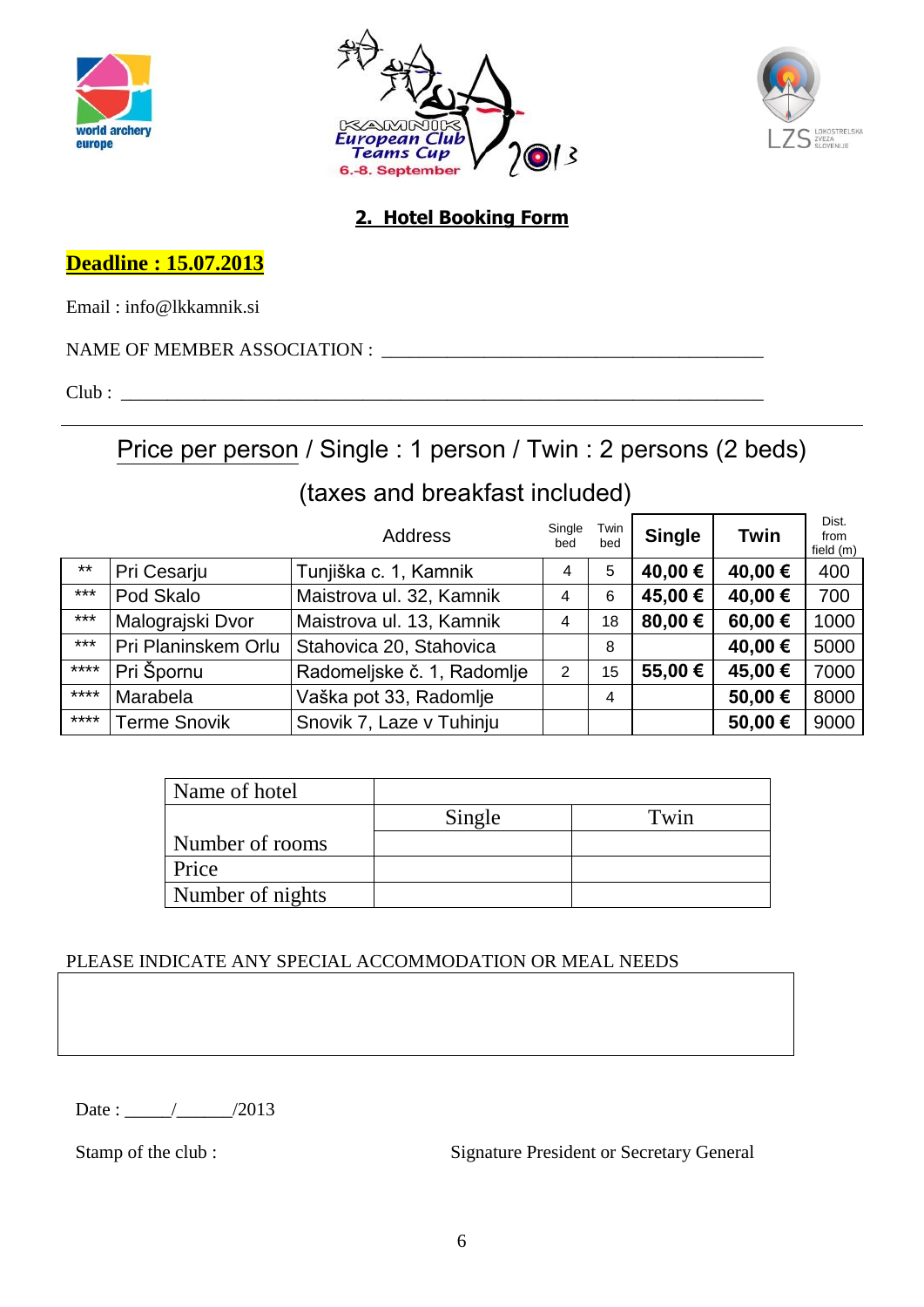





### **2. Hotel Booking Form**

**Deadline : 15.07.2013**

Email : info@lkkamnik.si

NAME OF MEMBER ASSOCIATION : \_\_\_\_\_\_\_\_\_\_\_\_\_\_\_\_\_\_\_\_\_\_\_\_\_\_\_\_\_\_\_\_\_\_\_\_\_\_\_\_\_

Club : \_\_\_\_\_\_\_\_\_\_\_\_\_\_\_\_\_\_\_\_\_\_\_\_\_\_\_\_\_\_\_\_\_\_\_\_\_\_\_\_\_\_\_\_\_\_\_\_\_\_\_\_\_\_\_\_\_\_\_\_\_\_\_\_\_\_\_\_\_

Price per person / Single : 1 person / Twin : 2 persons (2 beds)

# (taxes and breakfast included)

|        |                     | <b>Address</b>             | Single<br>bed | Twin<br>bed | <b>Single</b> | Twin             | Dist.<br>from<br>field (m) |
|--------|---------------------|----------------------------|---------------|-------------|---------------|------------------|----------------------------|
| $***$  | Pri Cesarju         | Tunjiška c. 1, Kamnik      | 4             | 5           | 40,00 €       | 40,00 €          | 400                        |
| $***$  | Pod Skalo           | Maistrova ul. 32, Kamnik   | 4             | 6           | 45,00 €       | 40,00 €          | 700                        |
| $***$  | Malograjski Dvor    | Maistrova ul. 13, Kamnik   | 4             | 18          | 80,00 €       | 60,00 $\epsilon$ | 1000                       |
| $***$  | Pri Planinskem Orlu | Stahovica 20, Stahovica    |               | 8           |               | 40,00 €          | 5000                       |
| $****$ | Pri Špornu          | Radomeljske č. 1, Radomlje | 2             | 15          | 55,00 €       | 45,00 €          | 7000                       |
| ****   | Marabela            | Vaška pot 33, Radomlje     |               | 4           |               | 50,00€           | 8000                       |
| ****   | <b>Terme Snovik</b> | Snovik 7, Laze v Tuhinju   |               |             |               | 50,00€           | 9000                       |

| Name of hotel    |        |      |
|------------------|--------|------|
|                  | Single | Twin |
| Number of rooms  |        |      |
| Price            |        |      |
| Number of nights |        |      |

#### PLEASE INDICATE ANY SPECIAL ACCOMMODATION OR MEAL NEEDS

Date : \_\_\_\_\_/\_\_\_\_\_\_/2013

Stamp of the club : Signature President or Secretary General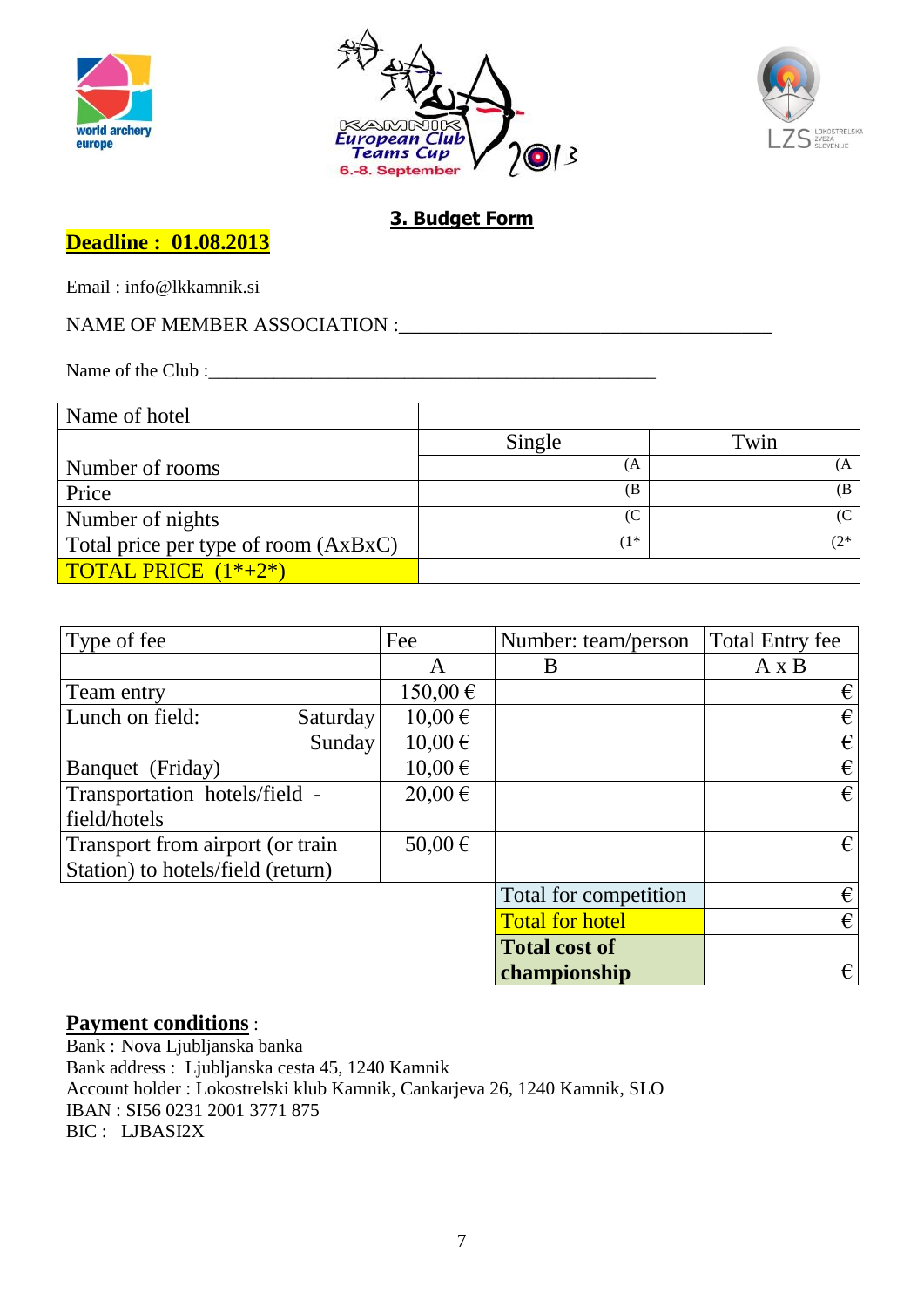





### **3. Budget Form**

### **Deadline : 01.08.2013**

Email : info@lkkamnik.si

## NAME OF MEMBER ASSOCIATION :\_\_\_\_\_\_\_\_\_\_\_\_\_\_\_\_\_\_\_\_\_\_\_\_\_\_\_\_\_\_\_\_\_\_\_\_\_

Name of the Club :\_\_\_\_\_\_\_\_\_\_\_\_\_\_\_\_\_\_\_\_\_\_\_\_\_\_\_\_\_\_\_\_\_\_\_\_\_\_\_\_\_\_\_\_\_\_\_\_

| Name of hotel                        |                   |        |
|--------------------------------------|-------------------|--------|
|                                      | Single            | Twin   |
| Number of rooms                      | (A                | ſΑ     |
| Price                                | (B                | (B     |
| Number of nights                     | (C <sub>0</sub> ) | (C     |
| Total price per type of room (AxBxC) | $1*$              | $(2^*$ |
| <b>TOTAL PRICE</b> $(1^*+2^*)$       |                   |        |

| Type of fee                       | Fee         | Number: team/person    | <b>Total Entry fee</b> |
|-----------------------------------|-------------|------------------------|------------------------|
|                                   | A           | B                      | $A \times B$           |
| Team entry                        | 150,00€     |                        | €                      |
| Lunch on field:<br>Saturday       | 10,00€      |                        | €                      |
| Sunday                            | $10,00 \in$ |                        | €                      |
| Banquet (Friday)                  | $10,00 \in$ |                        | €                      |
| Transportation hotels/field -     | $20,00 \in$ |                        | €                      |
| field/hotels                      |             |                        |                        |
| Transport from airport (or train  | $50,00 \in$ |                        | $\epsilon$             |
| Station) to hotels/field (return) |             |                        |                        |
|                                   |             | Total for competition  | €                      |
|                                   |             | <b>Total for hotel</b> | €                      |
|                                   |             | <b>Total cost of</b>   |                        |
|                                   |             | championship           | €                      |

#### **Payment conditions** :

Bank : Nova Ljubljanska banka Bank address : Ljubljanska cesta 45, 1240 Kamnik Account holder : Lokostrelski klub Kamnik, Cankarjeva 26, 1240 Kamnik, SLO IBAN : SI56 0231 2001 3771 875 BIC : LJBASI2X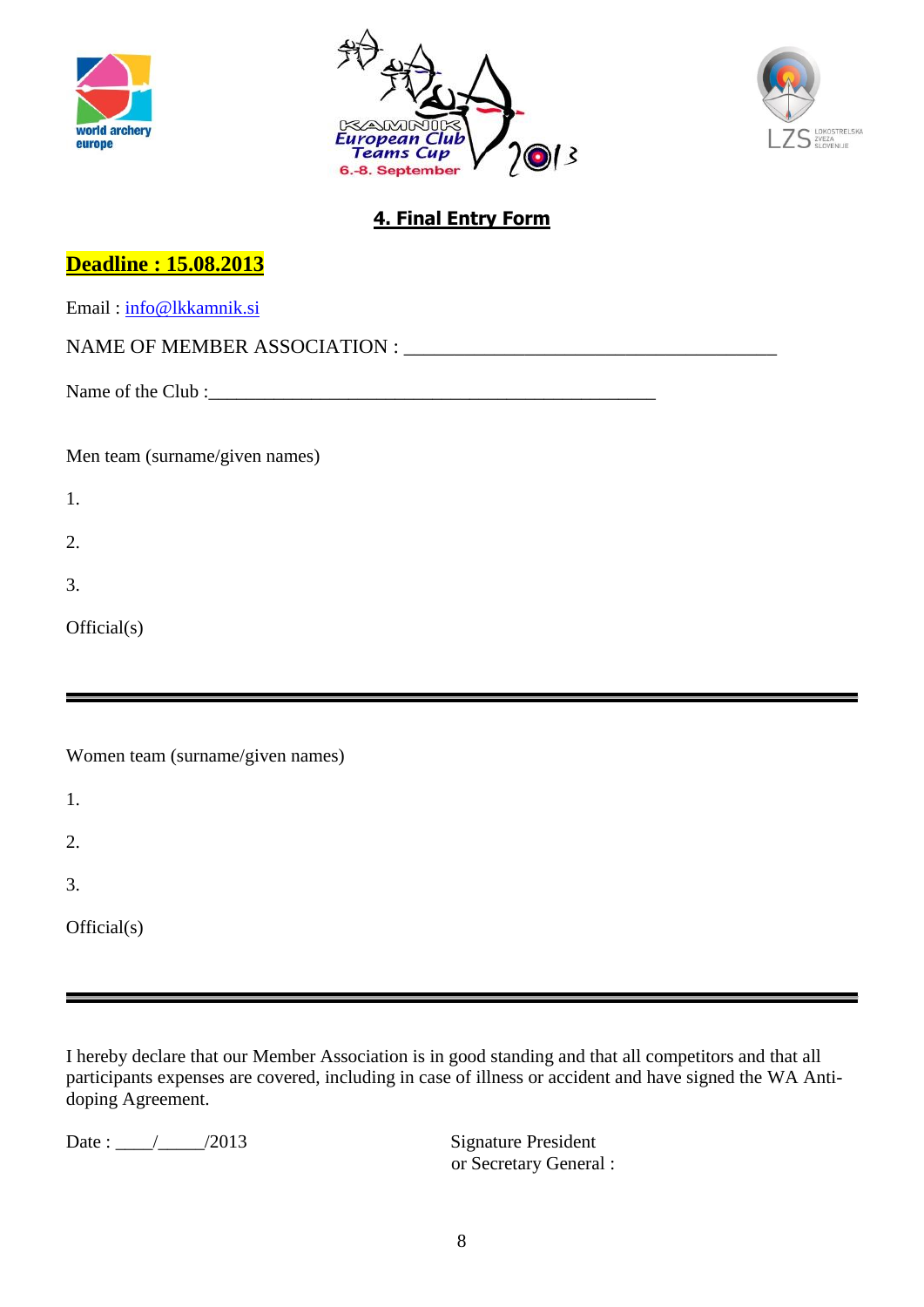





## **4. Final Entry Form**

| <b>Deadline: 15.08.2013</b>      |
|----------------------------------|
| Email: info@lkkamnik.si          |
|                                  |
|                                  |
|                                  |
| Men team (surname/given names)   |
| 1.                               |
| 2.                               |
| 3.                               |
| Official(s)                      |
|                                  |
|                                  |
| Women team (surname/given names) |
| 1.                               |
| 2.                               |
| 3.                               |

Official(s)

I hereby declare that our Member Association is in good standing and that all competitors and that all participants expenses are covered, including in case of illness or accident and have signed the WA Antidoping Agreement.

Date : \_\_\_\_/\_\_\_\_\_/2013 Signature President

or Secretary General :